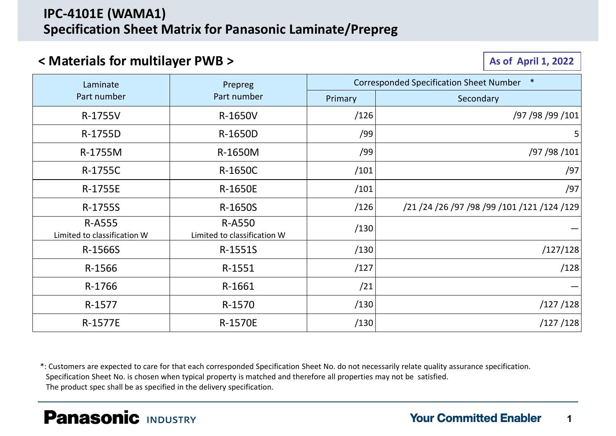### < Materials for multilayer PWB >

| <b>IPC-4101E (WAMA1)</b>                     | <b>Specification Sheet Matrix for Panasonic Laminate/Prepreg</b> |         |                                             |
|----------------------------------------------|------------------------------------------------------------------|---------|---------------------------------------------|
| < Materials for multilayer PWB >             |                                                                  |         | <b>As of April 1, 2022</b>                  |
| Laminate                                     | Prepreg                                                          |         | Corresponded Specification Sheet Number *   |
| Part number                                  | Part number                                                      | Primary | Secondary                                   |
| R-1755V                                      | R-1650V                                                          | /126    | /97 /98 /99 /101                            |
| R-1755D                                      | R-1650D                                                          | /99     |                                             |
| R-1755M                                      | R-1650M                                                          | /99     | /97 /98 /101                                |
| R-1755C                                      | R-1650C                                                          | /101    | /97                                         |
| R-1755E                                      | R-1650E                                                          | /101    | /97                                         |
| R-1755S                                      | R-1650S                                                          | /126    | /21 /24 /26 /97 /98 /99 /101 /121 /124 /129 |
| <b>R-A555</b><br>Limited to classification W | <b>R-A550</b><br>Limited to classification W                     | /130    |                                             |
| R-1566S                                      | R-1551S                                                          | /130    | /127/128                                    |
| R-1566                                       | R-1551                                                           | /127    | /128                                        |
| R-1766                                       | R-1661                                                           | /21     |                                             |
| R-1577                                       | R-1570                                                           | /130    | /127/128                                    |
| R-1577E                                      | R-1570E                                                          | /130    | /127/128                                    |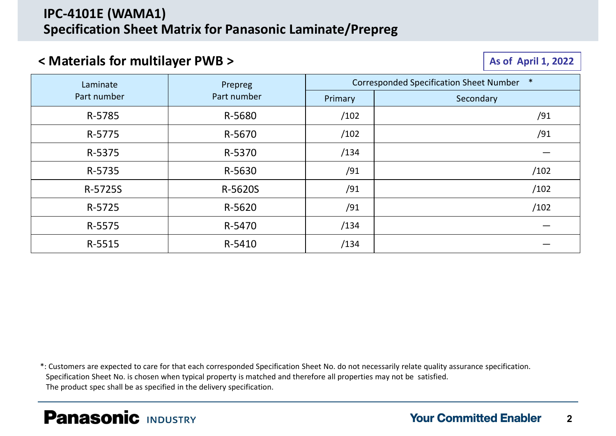# IPC-4101E (WAMA1) Specification Sheet Matrix for Panasonic Laminate/Prepreg

# $\sim$  Materials for multilayer PWB >  $\sim$  As of April 1, 2022

|             |             |         | <b>As of April 1, 2022</b>                |
|-------------|-------------|---------|-------------------------------------------|
| Laminate    | Prepreg     |         | Corresponded Specification Sheet Number * |
| Part number | Part number | Primary | Secondary                                 |
| R-5785      | R-5680      | /102    | /91                                       |
| R-5775      | R-5670      | /102    | /91                                       |
| R-5375      | R-5370      | /134    |                                           |
| R-5735      | R-5630      | /91     | /102                                      |
| R-5725S     | R-5620S     | /91     | /102                                      |
| R-5725      | R-5620      | /91     | /102                                      |
| R-5575      | R-5470      | /134    | $\hspace{0.05cm}$                         |
| R-5515      | R-5410      | /134    |                                           |